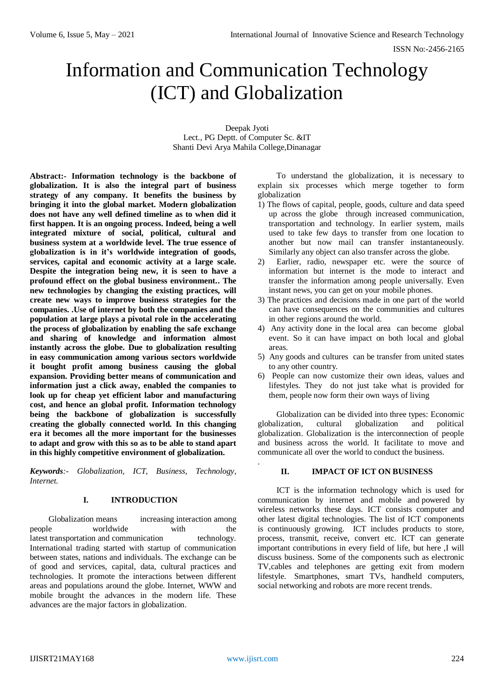# Information and Communication Technology (ICT) and Globalization

Deepak Jyoti Lect., PG Deptt. of Computer Sc. &IT Shanti Devi Arya Mahila College,Dinanagar

**Abstract:- Information technology is the backbone of globalization. It is also the integral part of business strategy of any company. It benefits the business by bringing it into the global market. Modern globalization does not have any well defined timeline as to when did it first happen. It is an ongoing process. Indeed, being a well integrated mixture of social, political, cultural and business system at a worldwide level. The true essence of globalization is in it's worldwide integration of goods, services, capital and economic activity at a large scale. Despite the integration being new, it is seen to have a profound effect on the global business environment.. The new technologies by changing the existing practices, will create new ways to improve business strategies for the companies. .Use of internet by both the companies and the population at large plays a pivotal role in the accelerating the process of globalization by enabling the safe exchange and sharing of knowledge and information almost instantly across the globe. Due to globalization resulting in easy communication among various sectors worldwide it bought profit among business causing the global expansion. Providing better means of communication and information just a click away, enabled the companies to look up for cheap yet efficient labor and manufacturing cost, and hence an global profit. Information technology being the backbone of globalization is successfully creating the globally connected world. In this changing era it becomes all the more important for the businesses to adapt and grow with this so as to be able to stand apart in this highly competitive environment of globalization.**

*Keywords:- Globalization, ICT, Business, Technology, Internet.*

#### **I. INTRODUCTION**

Globalization means increasing interaction among people worldwide with the latest transportation and communication technology. International trading started with startup of communication between states, nations and individuals. The exchange can be of good and services, capital, data, cultural practices and technologies. It promote the interactions between different areas and populations around the globe. Internet, WWW and mobile brought the advances in the modern life. These advances are the major factors in globalization.

To understand the globalization, it is necessary to explain six processes which merge together to form globalization

- 1) The flows of capital, people, goods, culture and data speed up across the globe through increased communication, transportation and technology. In earlier system, mails used to take few days to transfer from one location to another but now mail can transfer instantaneously. Similarly any object can also transfer across the globe.
- 2) Earlier, radio, newspaper etc. were the source of information but internet is the mode to interact and transfer the information among people universally. Even instant news, you can get on your mobile phones.
- 3) The practices and decisions made in one part of the world can have consequences on the communities and cultures in other regions around the world.
- 4) Any activity done in the local area can become global event. So it can have impact on both local and global areas.
- 5) Any goods and cultures can be transfer from united states to any other country.
- 6) People can now customize their own ideas, values and lifestyles. They do not just take what is provided for them, people now form their own ways of living

Globalization can be divided into three types: Economic globalization, cultural globalization and political globalization. Globalization is the interconnection of people and business across the world. It facilitate to move and communicate all over the world to conduct the business.

# **II. IMPACT OF ICT ON BUSINESS**

ICT is the information technology which is used for communication by internet and mobile and powered by wireless networks these days. ICT consists computer and other latest digital technologies. The list of ICT components is continuously growing. ICT includes products to store, process, transmit, receive, convert etc. ICT can generate important contributions in every field of life, but here ,I will discuss business. Some of the components such as electronic TV,cables and telephones are getting exit from modern lifestyle. Smartphones, smart TVs, handheld computers, social networking and robots are more recent trends.

.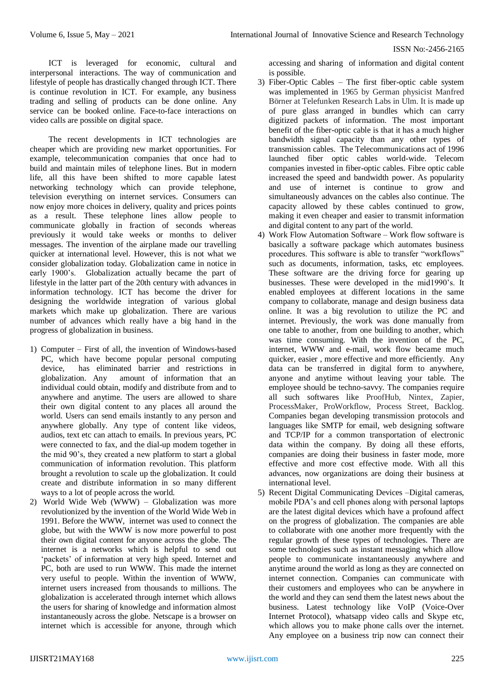ISSN No:-2456-2165

ICT is leveraged for economic, cultural and interpersonal interactions. The way of communication and lifestyle of people has drastically changed through ICT. There is continue revolution in ICT. For example, any business trading and selling of products can be done online. Any service can be booked online. Face-to-face interactions on video calls are possible on digital space.

The recent developments in ICT technologies are cheaper which are providing new market opportunities. For example, telecommunication companies that once had to build and maintain miles of telephone lines. But in modern life, all this have been shifted to more capable latest networking technology which can provide telephone, television everything on internet services. Consumers can now enjoy more choices in delivery, quality and prices points as a result. These telephone lines allow people to communicate globally in fraction of seconds whereas previously it would take weeks or months to deliver messages. The invention of the airplane made our travelling quicker at international level. However, this is not what we consider globalization today. Globalization came in notice in early 1900's. Globalization actually became the part of lifestyle in the latter part of the 20th century with advances in information technology. ICT has become the driver for designing the worldwide integration of various global markets which make up globalization. There are various number of advances which really have a big hand in the progress of globalization in business.

- 1) Computer First of all, the invention of Windows-based PC, which have become popular personal computing device, has eliminated barrier and restrictions in globalization. Any amount of information that an individual could obtain, modify and distribute from and to anywhere and anytime. The users are allowed to share their own digital content to any places all around the world. Users can send emails instantly to any person and anywhere globally. Any type of content like videos, audios, text etc can attach to emails. In previous years, PC were connected to fax, and the dial-up modem together in the mid 90's, they created a new platform to start a global communication of information revolution. This platform brought a revolution to scale up the globalization. It could create and distribute information in so many different ways to a lot of people across the world.
- 2) World Wide Web (WWW) Globalization was more revolutionized by the invention of the World Wide Web in 1991. Before the WWW, internet was used to connect the globe, but with the WWW is now more powerful to post their own digital content for anyone across the globe. The internet is a networks which is helpful to send out 'packets' of information at very high speed. Internet and PC, both are used to run WWW. This made the internet very useful to people. Within the invention of WWW, internet users increased from thousands to millions. The globalization is accelerated through internet which allows the users for sharing of knowledge and information almost instantaneously across the globe. Netscape is a browser on internet which is accessible for anyone, through which

accessing and sharing of information and digital content is possible.

- 3) Fiber-Optic Cables The first fiber-optic cable system was implemented in 1965 by German physicist Manfred Börner at Telefunken Research Labs in Ulm. It is made up of pure glass arranged in bundles which can carry digitized packets of information. The most important benefit of the fiber-optic cable is that it has a much higher bandwidth signal capacity than any other types of transmission cables. The Telecommunications act of 1996 launched fiber optic cables world-wide. Telecom companies invested in fiber-optic cables. Fibre optic cable increased the speed and bandwidth power. As popularity and use of internet is continue to grow and simultaneously advances on the cables also continue. The capacity allowed by these cables continued to grow, making it even cheaper and easier to transmit information and digital content to any part of the world.
- 4) Work Flow Automation Software Work flow software is basically a software package which automates business procedures. This software is able to transfer "workflows" such as documents, information, tasks, etc employees. These software are the driving force for gearing up businesses. These were developed in the mid1990's. It enabled employees at different locations in the same company to collaborate, manage and design business data online. It was a big revolution to utilize the PC and internet. Previously, the work was done manually from one table to another, from one building to another, which was time consuming. With the invention of the PC, internet, WWW and e-mail, work flow became much quicker, easier , more effective and more efficiently. Any data can be transferred in digital form to anywhere, anyone and anytime without leaving your table. The employee should be techno-savvy. The companies require all such softwares like ProofHub, Nintex, Zapier, ProcessMaker, ProWorkflow, Process Street, Backlog. Companies began developing transmission protocols and languages like SMTP for email, web designing software and TCP/IP for a common transportation of electronic data within the company. By doing all these efforts, companies are doing their business in faster mode, more effective and more cost effective mode. With all this advances, now organizations are doing their business at international level.
- 5) Recent Digital Communicating Devices –Digital cameras, mobile PDA's and cell phones along with personal laptops are the latest digital devices which have a profound affect on the progress of globalization. The companies are able to collaborate with one another more frequently with the regular growth of these types of technologies. There are some technologies such as instant messaging which allow people to communicate instantaneously anywhere and anytime around the world as long as they are connected on internet connection. Companies can communicate with their customers and employees who can be anywhere in the world and they can send them the latest news about the business. Latest technology like VoIP (Voice-Over Internet Protocol), whatsapp video calls and Skype etc, which allows you to make phone calls over the internet. Any employee on a business trip now can connect their